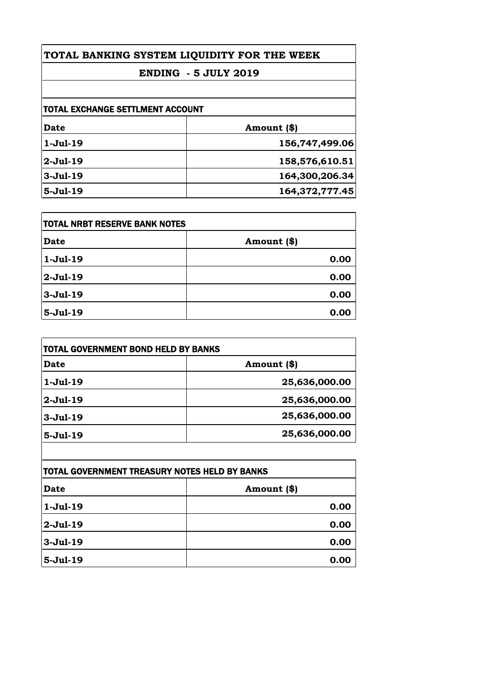### **ENDING - 5 JULY 2019**

| <b>TOTAL EXCHANGE SETTLMENT ACCOUNT</b> |                |
|-----------------------------------------|----------------|
| Date                                    | Amount (\$)    |
| $1-Jul-19$                              | 156,747,499.06 |
| $2-Jul-19$                              | 158,576,610.51 |
| $3-Jul-19$                              | 164,300,206.34 |
| $5-Jul-19$                              | 164,372,777.45 |

| <b>TOTAL NRBT RESERVE BANK NOTES</b> |             |
|--------------------------------------|-------------|
| <b>Date</b>                          | Amount (\$) |
| $1-Jul-19$                           | 0.00        |
| $2-Jul-19$                           | 0.00        |
| $3-Jul-19$                           | 0.00        |
| $5-Jul-19$                           | 0.00        |

| TOTAL GOVERNMENT BOND HELD BY BANKS |               |
|-------------------------------------|---------------|
| <b>Date</b>                         | Amount (\$)   |
| $1-Jul-19$                          | 25,636,000.00 |
| $2-Jul-19$                          | 25,636,000.00 |
| $3-Jul-19$                          | 25,636,000.00 |
| $5-Jul-19$                          | 25,636,000.00 |

| TOTAL GOVERNMENT TREASURY NOTES HELD BY BANKS |             |
|-----------------------------------------------|-------------|
| Date                                          | Amount (\$) |
| $1-Jul-19$                                    | 0.00        |
| 2-Jul-19                                      | 0.00        |
| $3-Jul-19$                                    | 0.00        |
| $5-Jul-19$                                    | 0.00        |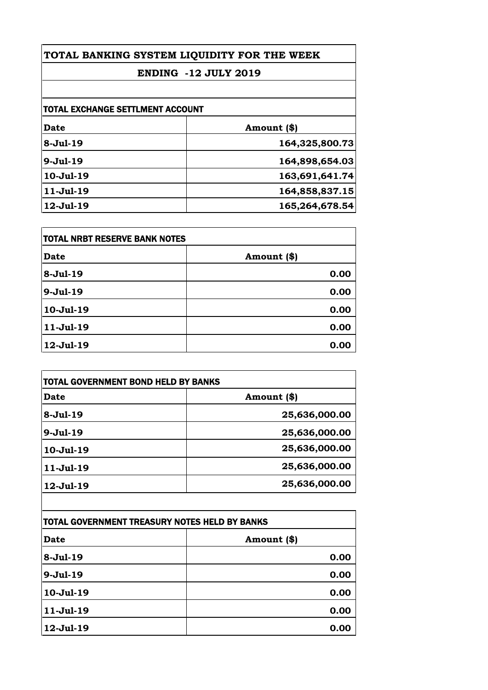### **ENDING -12 JULY 2019**

| <b>TOTAL EXCHANGE SETTLMENT ACCOUNT</b> |                |
|-----------------------------------------|----------------|
| <b>Date</b>                             | Amount (\$)    |
| $8-Jul-19$                              | 164,325,800.73 |
| $9-Jul-19$                              | 164,898,654.03 |
| 10-Jul-19                               | 163,691,641.74 |
| $11-Jul-19$                             | 164,858,837.15 |
| 12-Jul-19                               | 165,264,678.54 |

| <b>TOTAL NRBT RESERVE BANK NOTES</b> |             |
|--------------------------------------|-------------|
| <b>Date</b>                          | Amount (\$) |
| 8-Jul-19                             | 0.00        |
| $9-Jul-19$                           | 0.00        |
| 10-Jul-19                            | 0.00        |
| 11-Jul-19                            | 0.00        |
| 12-Jul-19                            | 0.00        |

| <b>TOTAL GOVERNMENT BOND HELD BY BANKS</b> |               |
|--------------------------------------------|---------------|
| Date                                       | Amount (\$)   |
| $8-Ju1-19$                                 | 25,636,000.00 |
| $9-Jul-19$                                 | 25,636,000.00 |
| 10-Jul-19                                  | 25,636,000.00 |
| 11-Jul-19                                  | 25,636,000.00 |
| 12-Jul-19                                  | 25,636,000.00 |
|                                            |               |

| TOTAL GOVERNMENT TREASURY NOTES HELD BY BANKS |              |
|-----------------------------------------------|--------------|
| <b>Date</b>                                   | Amount $(*)$ |
| 8-Jul-19                                      | 0.00         |
| $9-Jul-19$                                    | 0.00         |
| 10-Jul-19                                     | 0.00         |
| $11-Jul-19$                                   | 0.00         |
| 12-Jul-19                                     | 0.00         |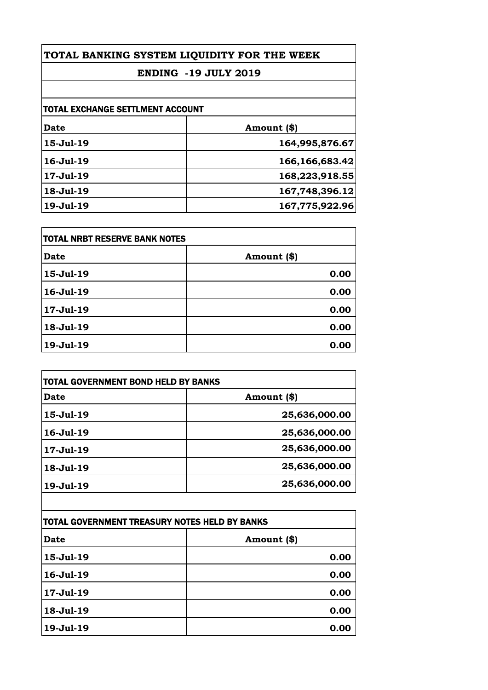### **ENDING -19 JULY 2019**

| <b>TOTAL EXCHANGE SETTLMENT ACCOUNT</b> |                |
|-----------------------------------------|----------------|
| Date                                    | Amount (\$)    |
| 15-Jul-19                               | 164,995,876.67 |
| 16-Jul-19                               | 166,166,683.42 |
| 17-Jul-19                               | 168,223,918.55 |
| 18-Jul-19                               | 167,748,396.12 |
| 19-Jul-19                               | 167,775,922.96 |

| <b>TOTAL NRBT RESERVE BANK NOTES</b> |             |
|--------------------------------------|-------------|
| <b>Date</b>                          | Amount (\$) |
| 15-Jul-19                            | 0.00        |
| 16-Jul-19                            | 0.00        |
| 17-Jul-19                            | 0.00        |
| 18-Jul-19                            | 0.00        |
| 19-Jul-19                            | 0.00        |

| <b>TOTAL GOVERNMENT BOND HELD BY BANKS</b> |               |
|--------------------------------------------|---------------|
| Date                                       | Amount (\$)   |
| 15-Jul-19                                  | 25,636,000.00 |
| 16-Jul-19                                  | 25,636,000.00 |
| 17-Jul-19                                  | 25,636,000.00 |
| 18-Jul-19                                  | 25,636,000.00 |
| 19-Jul-19                                  | 25,636,000.00 |
|                                            |               |

| TOTAL GOVERNMENT TREASURY NOTES HELD BY BANKS |             |
|-----------------------------------------------|-------------|
| <b>Date</b>                                   | Amount (\$) |
| 15-Jul-19                                     | 0.00        |
| 16-Jul-19                                     | 0.00        |
| 17-Jul-19                                     | 0.00        |
| 18-Jul-19                                     | 0.00        |
| 19-Jul-19                                     | 0.00        |